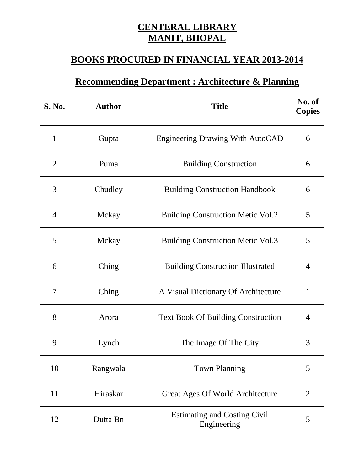## **CENTERAL LIBRARY MANIT, BHOPAL**

## **BOOKS PROCURED IN FINANCIAL YEAR 2013-2014**

## **Recommending Department : Architecture & Planning**

| <b>S. No.</b>  | <b>Author</b> | <b>Title</b>                                       | No. of<br><b>Copies</b> |
|----------------|---------------|----------------------------------------------------|-------------------------|
| $\mathbf{1}$   | Gupta         | <b>Engineering Drawing With AutoCAD</b>            | 6                       |
| $\overline{2}$ | Puma          | <b>Building Construction</b>                       | 6                       |
| 3              | Chudley       | <b>Building Construction Handbook</b>              | 6                       |
| $\overline{4}$ | Mckay         | <b>Building Construction Metic Vol.2</b>           | 5                       |
| 5              | Mckay         | <b>Building Construction Metic Vol.3</b>           | 5                       |
| 6              | Ching         | <b>Building Construction Illustrated</b>           | $\overline{4}$          |
| 7              | Ching         | A Visual Dictionary Of Architecture                | 1                       |
| 8              | Arora         | <b>Text Book Of Building Construction</b>          | $\overline{4}$          |
| 9              | Lynch         | The Image Of The City                              | 3                       |
| 10             | Rangwala      | <b>Town Planning</b>                               | 5                       |
| 11             | Hiraskar      | Great Ages Of World Architecture                   | $\overline{2}$          |
| 12             | Dutta Bn      | <b>Estimating and Costing Civil</b><br>Engineering | 5                       |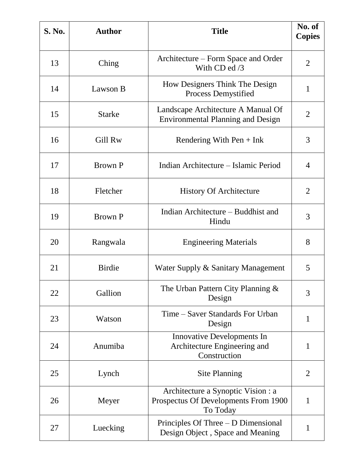| S. No. | <b>Author</b>  | <b>Title</b>                                                                           | No. of<br><b>Copies</b> |
|--------|----------------|----------------------------------------------------------------------------------------|-------------------------|
| 13     | Ching          | Architecture – Form Space and Order<br>With $CD$ ed $/3$                               | $\overline{2}$          |
| 14     | Lawson B       | How Designers Think The Design<br><b>Process Demystified</b>                           | 1                       |
| 15     | <b>Starke</b>  | Landscape Architecture A Manual Of<br><b>Environmental Planning and Design</b>         | $\overline{2}$          |
| 16     | Gill Rw        | Rendering With $Pen + Ink$                                                             | 3                       |
| 17     | <b>Brown P</b> | Indian Architecture – Islamic Period                                                   | $\overline{4}$          |
| 18     | Fletcher       | <b>History Of Architecture</b>                                                         | $\overline{2}$          |
| 19     | <b>Brown P</b> | Indian Architecture – Buddhist and<br>Hindu                                            | 3                       |
| 20     | Rangwala       | <b>Engineering Materials</b>                                                           | 8                       |
| 21     | <b>Birdie</b>  | Water Supply & Sanitary Management                                                     | 5                       |
| 22     | Gallion        | The Urban Pattern City Planning $\&$<br>Design                                         | 3                       |
| 23     | Watson         | Time – Saver Standards For Urban<br>Design                                             | $\mathbf{1}$            |
| 24     | Anumiba        | <b>Innovative Developments In</b><br>Architecture Engineering and<br>Construction      | $\mathbf{1}$            |
| 25     | Lynch          | <b>Site Planning</b>                                                                   | $\overline{2}$          |
| 26     | Meyer          | Architecture a Synoptic Vision : a<br>Prospectus Of Developments From 1900<br>To Today | $\mathbf{1}$            |
| 27     | Luecking       | Principles Of Three – D Dimensional<br>Design Object, Space and Meaning                | $\mathbf 1$             |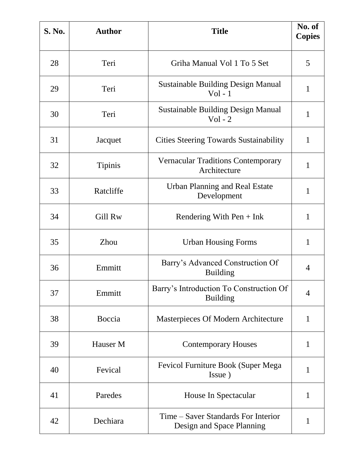| <b>S. No.</b> | <b>Author</b>  | <b>Title</b>                                                     | No. of<br><b>Copies</b> |
|---------------|----------------|------------------------------------------------------------------|-------------------------|
| 28            | Teri           | Griha Manual Vol 1 To 5 Set                                      | 5                       |
| 29            | Teri           | <b>Sustainable Building Design Manual</b><br>$Vol - 1$           | 1                       |
| 30            | Teri           | <b>Sustainable Building Design Manual</b><br>$Vol - 2$           | $\mathbf{1}$            |
| 31            | Jacquet        | <b>Cities Steering Towards Sustainability</b>                    | $\mathbf{1}$            |
| 32            | <b>Tipinis</b> | <b>Vernacular Traditions Contemporary</b><br>Architecture        | $\mathbf{1}$            |
| 33            | Ratcliffe      | <b>Urban Planning and Real Estate</b><br>Development             | $\mathbf{1}$            |
| 34            | Gill Rw        | Rendering With Pen $+$ Ink                                       | 1                       |
| 35            | <b>Zhou</b>    | <b>Urban Housing Forms</b>                                       | 1                       |
| 36            | Emmitt         | Barry's Advanced Construction Of<br><b>Building</b>              | 4                       |
| 37            | Emmitt         | Barry's Introduction To Construction Of<br><b>Building</b>       | $\overline{4}$          |
| 38            | Boccia         | Masterpieces Of Modern Architecture                              | $\mathbf{1}$            |
| 39            | Hauser M       | <b>Contemporary Houses</b>                                       | $\mathbf{1}$            |
| 40            | Fevical        | <b>Fevicol Furniture Book (Super Mega</b><br>Issue)              | 1                       |
| 41            | Paredes        | House In Spectacular                                             | $\mathbf{1}$            |
| 42            | Dechiara       | Time – Saver Standards For Interior<br>Design and Space Planning | 1                       |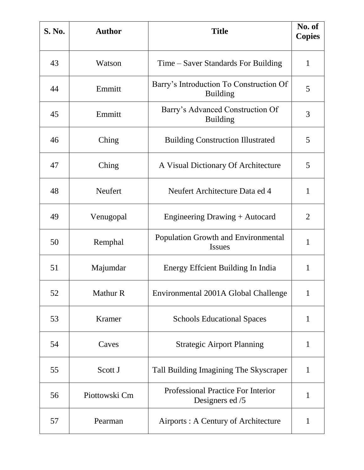| <b>S. No.</b> | <b>Author</b>   | <b>Title</b>                                                | No. of<br><b>Copies</b> |
|---------------|-----------------|-------------------------------------------------------------|-------------------------|
| 43            | Watson          | Time – Saver Standards For Building                         | $\mathbf{1}$            |
| 44            | Emmitt          | Barry's Introduction To Construction Of<br><b>Building</b>  | 5                       |
| 45            | Emmitt          | Barry's Advanced Construction Of<br><b>Building</b>         | 3                       |
| 46            | Ching           | <b>Building Construction Illustrated</b>                    | 5                       |
| 47            | Ching           | A Visual Dictionary Of Architecture                         | 5                       |
| 48            | Neufert         | Neufert Architecture Data ed 4                              | $\mathbf{1}$            |
| 49            | Venugopal       | Engineering Drawing + Autocard                              | 2                       |
| 50            | Remphal         | <b>Population Growth and Environmental</b><br><b>Issues</b> | 1                       |
| 51            | Majumdar        | Energy Effcient Building In India                           | 1                       |
| 52            | <b>Mathur R</b> | Environmental 2001A Global Challenge                        | $\mathbf{1}$            |
| 53            | Kramer          | <b>Schools Educational Spaces</b>                           | $\mathbf{1}$            |
| 54            | Caves           | <b>Strategic Airport Planning</b>                           | $\mathbf{1}$            |
| 55            | Scott J         | Tall Building Imagining The Skyscraper                      | 1                       |
| 56            | Piottowski Cm   | Professional Practice For Interior<br>Designers ed /5       | 1                       |
| 57            | Pearman         | Airports : A Century of Architecture                        | 1                       |